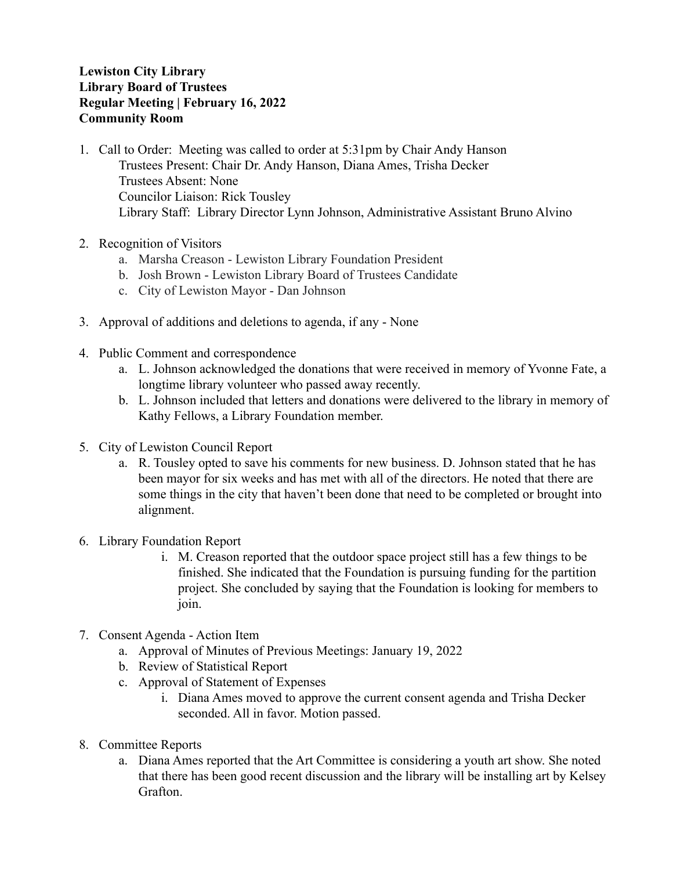## **Lewiston City Library Library Board of Trustees Regular Meeting | February 16, 2022 Community Room**

- 1. Call to Order: Meeting was called to order at 5:31pm by Chair Andy Hanson Trustees Present: Chair Dr. Andy Hanson, Diana Ames, Trisha Decker Trustees Absent: None Councilor Liaison: Rick Tousley Library Staff: Library Director Lynn Johnson, Administrative Assistant Bruno Alvino
- 2. Recognition of Visitors
	- a. Marsha Creason Lewiston Library Foundation President
	- b. Josh Brown Lewiston Library Board of Trustees Candidate
	- c. City of Lewiston Mayor Dan Johnson
- 3. Approval of additions and deletions to agenda, if any None
- 4. Public Comment and correspondence
	- a. L. Johnson acknowledged the donations that were received in memory of Yvonne Fate, a longtime library volunteer who passed away recently.
	- b. L. Johnson included that letters and donations were delivered to the library in memory of Kathy Fellows, a Library Foundation member.
- 5. City of Lewiston Council Report
	- a. R. Tousley opted to save his comments for new business. D. Johnson stated that he has been mayor for six weeks and has met with all of the directors. He noted that there are some things in the city that haven't been done that need to be completed or brought into alignment.
- 6. Library Foundation Report
	- i. M. Creason reported that the outdoor space project still has a few things to be finished. She indicated that the Foundation is pursuing funding for the partition project. She concluded by saying that the Foundation is looking for members to join.
- 7. Consent Agenda Action Item
	- a. Approval of Minutes of Previous Meetings: January 19, 2022
	- b. Review of Statistical Report
	- c. Approval of Statement of Expenses
		- i. Diana Ames moved to approve the current consent agenda and Trisha Decker seconded. All in favor. Motion passed.
- 8. Committee Reports
	- a. Diana Ames reported that the Art Committee is considering a youth art show. She noted that there has been good recent discussion and the library will be installing art by Kelsey Grafton.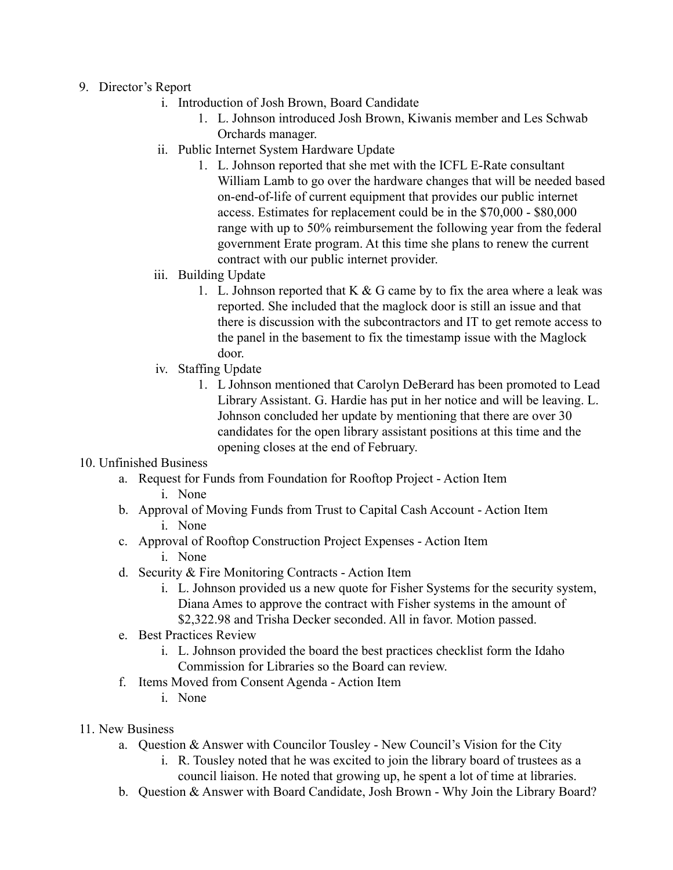- 9. Director's Report
	- i. Introduction of Josh Brown, Board Candidate
		- 1. L. Johnson introduced Josh Brown, Kiwanis member and Les Schwab Orchards manager.
	- ii. Public Internet System Hardware Update
		- 1. L. Johnson reported that she met with the ICFL E-Rate consultant William Lamb to go over the hardware changes that will be needed based on-end-of-life of current equipment that provides our public internet access. Estimates for replacement could be in the \$70,000 - \$80,000 range with up to 50% reimbursement the following year from the federal government Erate program. At this time she plans to renew the current contract with our public internet provider.
	- iii. Building Update
		- 1. L. Johnson reported that  $K & G$  came by to fix the area where a leak was reported. She included that the maglock door is still an issue and that there is discussion with the subcontractors and IT to get remote access to the panel in the basement to fix the timestamp issue with the Maglock door.
	- iv. Staffing Update
		- 1. L Johnson mentioned that Carolyn DeBerard has been promoted to Lead Library Assistant. G. Hardie has put in her notice and will be leaving. L. Johnson concluded her update by mentioning that there are over 30 candidates for the open library assistant positions at this time and the opening closes at the end of February.

## 10. Unfinished Business

- a. Request for Funds from Foundation for Rooftop Project Action Item i. None
- b. Approval of Moving Funds from Trust to Capital Cash Account Action Item
	- i. None
- c. Approval of Rooftop Construction Project Expenses Action Item i. None
	-
- d. Security & Fire Monitoring Contracts Action Item
	- i. L. Johnson provided us a new quote for Fisher Systems for the security system, Diana Ames to approve the contract with Fisher systems in the amount of \$2,322.98 and Trisha Decker seconded. All in favor. Motion passed.
- e. Best Practices Review
	- i. L. Johnson provided the board the best practices checklist form the Idaho Commission for Libraries so the Board can review.
- f. Items Moved from Consent Agenda Action Item
	- i. None
- 11. New Business
	- a. Question & Answer with Councilor Tousley New Council's Vision for the City
		- i. R. Tousley noted that he was excited to join the library board of trustees as a council liaison. He noted that growing up, he spent a lot of time at libraries.
	- b. Question & Answer with Board Candidate, Josh Brown Why Join the Library Board?